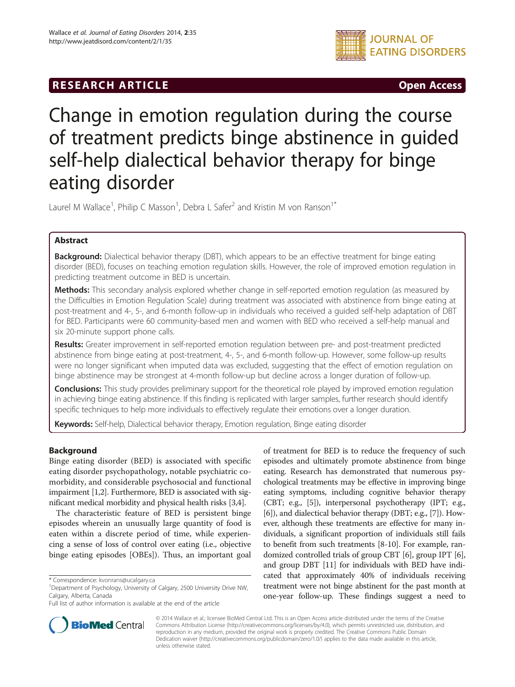## **RESEARCH ARTICLE Example 2018 12:00 Department of the CONNECTION CONNECTION CONNECTION CONNECTION**



# Change in emotion regulation during the course of treatment predicts binge abstinence in guided self-help dialectical behavior therapy for binge eating disorder

Laurel M Wallace<sup>1</sup>, Philip C Masson<sup>1</sup>, Debra L Safer<sup>2</sup> and Kristin M von Ranson<sup>1\*</sup>

## Abstract

Background: Dialectical behavior therapy (DBT), which appears to be an effective treatment for binge eating disorder (BED), focuses on teaching emotion regulation skills. However, the role of improved emotion regulation in predicting treatment outcome in BED is uncertain.

**Methods:** This secondary analysis explored whether change in self-reported emotion regulation (as measured by the Difficulties in Emotion Regulation Scale) during treatment was associated with abstinence from binge eating at post-treatment and 4-, 5-, and 6-month follow-up in individuals who received a guided self-help adaptation of DBT for BED. Participants were 60 community-based men and women with BED who received a self-help manual and six 20-minute support phone calls.

Results: Greater improvement in self-reported emotion regulation between pre- and post-treatment predicted abstinence from binge eating at post-treatment, 4-, 5-, and 6-month follow-up. However, some follow-up results were no longer significant when imputed data was excluded, suggesting that the effect of emotion regulation on binge abstinence may be strongest at 4-month follow-up but decline across a longer duration of follow-up.

**Conclusions:** This study provides preliminary support for the theoretical role played by improved emotion regulation in achieving binge eating abstinence. If this finding is replicated with larger samples, further research should identify specific techniques to help more individuals to effectively regulate their emotions over a longer duration.

Keywords: Self-help, Dialectical behavior therapy, Emotion regulation, Binge eating disorder

## Background

Binge eating disorder (BED) is associated with specific eating disorder psychopathology, notable psychiatric comorbidity, and considerable psychosocial and functional impairment [\[1,2\]](#page-7-0). Furthermore, BED is associated with significant medical morbidity and physical health risks [[3,4](#page-7-0)].

The characteristic feature of BED is persistent binge episodes wherein an unusually large quantity of food is eaten within a discrete period of time, while experiencing a sense of loss of control over eating (i.e., objective binge eating episodes [OBEs]). Thus, an important goal of treatment for BED is to reduce the frequency of such episodes and ultimately promote abstinence from binge eating. Research has demonstrated that numerous psychological treatments may be effective in improving binge eating symptoms, including cognitive behavior therapy (CBT; e.g., [[5\]](#page-7-0)), interpersonal psychotherapy (IPT; e.g., [[6\]](#page-7-0)), and dialectical behavior therapy (DBT; e.g., [\[7](#page-7-0)]). However, although these treatments are effective for many individuals, a significant proportion of individuals still fails to benefit from such treatments [\[8-10](#page-7-0)]. For example, randomized controlled trials of group CBT [[6](#page-7-0)], group IPT [[6](#page-7-0)], and group DBT [\[11](#page-7-0)] for individuals with BED have indicated that approximately 40% of individuals receiving treatment were not binge abstinent for the past month at one-year follow-up. These findings suggest a need to



© 2014 Wallace et al.; licensee BioMed Central Ltd. This is an Open Access article distributed under the terms of the Creative Commons Attribution License [\(http://creativecommons.org/licenses/by/4.0\)](http://creativecommons.org/licenses/by/4.0), which permits unrestricted use, distribution, and reproduction in any medium, provided the original work is properly credited. The Creative Commons Public Domain Dedication waiver [\(http://creativecommons.org/publicdomain/zero/1.0/](http://creativecommons.org/publicdomain/zero/1.0/)) applies to the data made available in this article, unless otherwise stated.

<sup>\*</sup> Correspondence: [kvonrans@ucalgary.ca](mailto:kvonrans@ucalgary.ca) <sup>1</sup>

<sup>&</sup>lt;sup>1</sup>Department of Psychology, University of Calgary, 2500 University Drive NW, Calgary, Alberta, Canada

Full list of author information is available at the end of the article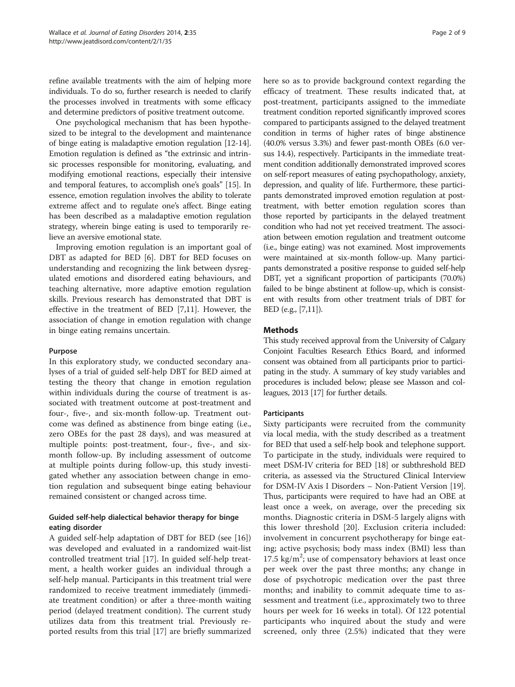refine available treatments with the aim of helping more individuals. To do so, further research is needed to clarify the processes involved in treatments with some efficacy and determine predictors of positive treatment outcome.

One psychological mechanism that has been hypothesized to be integral to the development and maintenance of binge eating is maladaptive emotion regulation [[12](#page-7-0)-[14](#page-7-0)]. Emotion regulation is defined as "the extrinsic and intrinsic processes responsible for monitoring, evaluating, and modifying emotional reactions, especially their intensive and temporal features, to accomplish one's goals" [[15](#page-7-0)]. In essence, emotion regulation involves the ability to tolerate extreme affect and to regulate one's affect. Binge eating has been described as a maladaptive emotion regulation strategy, wherein binge eating is used to temporarily relieve an aversive emotional state.

Improving emotion regulation is an important goal of DBT as adapted for BED [[6\]](#page-7-0). DBT for BED focuses on understanding and recognizing the link between dysregulated emotions and disordered eating behaviours, and teaching alternative, more adaptive emotion regulation skills. Previous research has demonstrated that DBT is effective in the treatment of BED [\[7,11](#page-7-0)]. However, the association of change in emotion regulation with change in binge eating remains uncertain.

#### Purpose

In this exploratory study, we conducted secondary analyses of a trial of guided self-help DBT for BED aimed at testing the theory that change in emotion regulation within individuals during the course of treatment is associated with treatment outcome at post-treatment and four-, five-, and six-month follow-up. Treatment outcome was defined as abstinence from binge eating (i.e., zero OBEs for the past 28 days), and was measured at multiple points: post-treatment, four-, five-, and sixmonth follow-up. By including assessment of outcome at multiple points during follow-up, this study investigated whether any association between change in emotion regulation and subsequent binge eating behaviour remained consistent or changed across time.

## Guided self-help dialectical behavior therapy for binge eating disorder

A guided self-help adaptation of DBT for BED (see [\[16](#page-7-0)]) was developed and evaluated in a randomized wait-list controlled treatment trial [\[17](#page-7-0)]. In guided self-help treatment, a health worker guides an individual through a self-help manual. Participants in this treatment trial were randomized to receive treatment immediately (immediate treatment condition) or after a three-month waiting period (delayed treatment condition). The current study utilizes data from this treatment trial. Previously reported results from this trial [\[17\]](#page-7-0) are briefly summarized here so as to provide background context regarding the efficacy of treatment. These results indicated that, at post-treatment, participants assigned to the immediate treatment condition reported significantly improved scores compared to participants assigned to the delayed treatment condition in terms of higher rates of binge abstinence (40.0% versus 3.3%) and fewer past-month OBEs (6.0 versus 14.4), respectively. Participants in the immediate treatment condition additionally demonstrated improved scores on self-report measures of eating psychopathology, anxiety, depression, and quality of life. Furthermore, these participants demonstrated improved emotion regulation at posttreatment, with better emotion regulation scores than those reported by participants in the delayed treatment condition who had not yet received treatment. The association between emotion regulation and treatment outcome (i.e., binge eating) was not examined. Most improvements were maintained at six-month follow-up. Many participants demonstrated a positive response to guided self-help DBT, yet a significant proportion of participants (70.0%) failed to be binge abstinent at follow-up, which is consistent with results from other treatment trials of DBT for BED (e.g., [\[7,11](#page-7-0)]).

## **Methods**

This study received approval from the University of Calgary Conjoint Faculties Research Ethics Board, and informed consent was obtained from all participants prior to participating in the study. A summary of key study variables and procedures is included below; please see Masson and colleagues, 2013 [\[17\]](#page-7-0) for further details.

#### Participants

Sixty participants were recruited from the community via local media, with the study described as a treatment for BED that used a self-help book and telephone support. To participate in the study, individuals were required to meet DSM-IV criteria for BED [[18](#page-7-0)] or subthreshold BED criteria, as assessed via the Structured Clinical Interview for DSM-IV Axis I Disorders – Non-Patient Version [[19](#page-7-0)]. Thus, participants were required to have had an OBE at least once a week, on average, over the preceding six months. Diagnostic criteria in DSM-5 largely aligns with this lower threshold [\[20](#page-7-0)]. Exclusion criteria included: involvement in concurrent psychotherapy for binge eating; active psychosis; body mass index (BMI) less than 17.5  $\text{kg/m}^2$ ; use of compensatory behaviors at least once per week over the past three months; any change in dose of psychotropic medication over the past three months; and inability to commit adequate time to assessment and treatment (i.e., approximately two to three hours per week for 16 weeks in total). Of 122 potential participants who inquired about the study and were screened, only three (2.5%) indicated that they were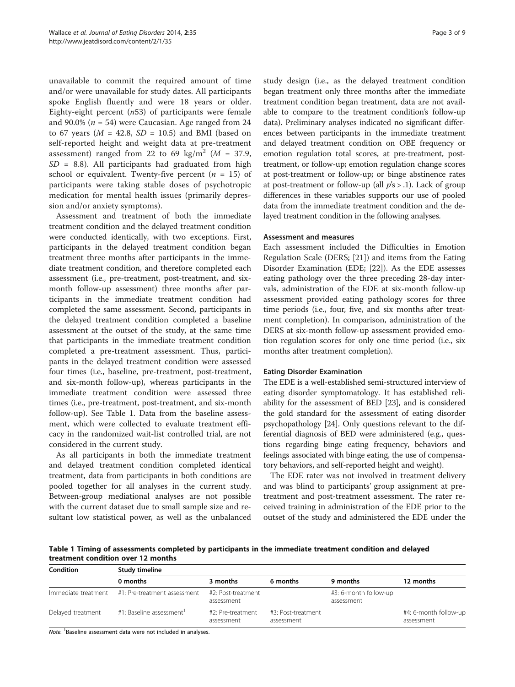unavailable to commit the required amount of time and/or were unavailable for study dates. All participants spoke English fluently and were 18 years or older. Eighty-eight percent  $(n53)$  of participants were female and 90.0% ( $n = 54$ ) were Caucasian. Age ranged from 24 to 67 years ( $M = 42.8$ ,  $SD = 10.5$ ) and BMI (based on self-reported height and weight data at pre-treatment assessment) ranged from 22 to 69 kg/m<sup>2</sup> ( $M = 37.9$ ,  $SD = 8.8$ ). All participants had graduated from high school or equivalent. Twenty-five percent  $(n = 15)$  of participants were taking stable doses of psychotropic medication for mental health issues (primarily depression and/or anxiety symptoms).

Assessment and treatment of both the immediate treatment condition and the delayed treatment condition were conducted identically, with two exceptions. First, participants in the delayed treatment condition began treatment three months after participants in the immediate treatment condition, and therefore completed each assessment (i.e., pre-treatment, post-treatment, and sixmonth follow-up assessment) three months after participants in the immediate treatment condition had completed the same assessment. Second, participants in the delayed treatment condition completed a baseline assessment at the outset of the study, at the same time that participants in the immediate treatment condition completed a pre-treatment assessment. Thus, participants in the delayed treatment condition were assessed four times (i.e., baseline, pre-treatment, post-treatment, and six-month follow-up), whereas participants in the immediate treatment condition were assessed three times (i.e., pre-treatment, post-treatment, and six-month follow-up). See Table 1. Data from the baseline assessment, which were collected to evaluate treatment efficacy in the randomized wait-list controlled trial, are not considered in the current study.

As all participants in both the immediate treatment and delayed treatment condition completed identical treatment, data from participants in both conditions are pooled together for all analyses in the current study. Between-group mediational analyses are not possible with the current dataset due to small sample size and resultant low statistical power, as well as the unbalanced

study design (i.e., as the delayed treatment condition began treatment only three months after the immediate treatment condition began treatment, data are not available to compare to the treatment condition's follow-up data). Preliminary analyses indicated no significant differences between participants in the immediate treatment and delayed treatment condition on OBE frequency or emotion regulation total scores, at pre-treatment, posttreatment, or follow-up; emotion regulation change scores at post-treatment or follow-up; or binge abstinence rates at post-treatment or follow-up (all  $p's > .1$ ). Lack of group differences in these variables supports our use of pooled data from the immediate treatment condition and the delayed treatment condition in the following analyses.

#### Assessment and measures

Each assessment included the Difficulties in Emotion Regulation Scale (DERS; [[21\]](#page-7-0)) and items from the Eating Disorder Examination (EDE; [\[22](#page-7-0)]). As the EDE assesses eating pathology over the three preceding 28-day intervals, administration of the EDE at six-month follow-up assessment provided eating pathology scores for three time periods (i.e., four, five, and six months after treatment completion). In comparison, administration of the DERS at six-month follow-up assessment provided emotion regulation scores for only one time period (i.e., six months after treatment completion).

#### Eating Disorder Examination

The EDE is a well-established semi-structured interview of eating disorder symptomatology. It has established reliability for the assessment of BED [\[23](#page-8-0)], and is considered the gold standard for the assessment of eating disorder psychopathology [\[24\]](#page-8-0). Only questions relevant to the differential diagnosis of BED were administered (e.g., questions regarding binge eating frequency, behaviors and feelings associated with binge eating, the use of compensatory behaviors, and self-reported height and weight).

The EDE rater was not involved in treatment delivery and was blind to participants' group assignment at pretreatment and post-treatment assessment. The rater received training in administration of the EDE prior to the outset of the study and administered the EDE under the

Table 1 Timing of assessments completed by participants in the immediate treatment condition and delayed treatment condition over 12 months

| <b>Condition</b>    | Study timeline               |                                  |                                  |                                     |                                     |  |  |  |
|---------------------|------------------------------|----------------------------------|----------------------------------|-------------------------------------|-------------------------------------|--|--|--|
|                     | 0 months                     | 3 months                         | 6 months                         | 9 months                            | 12 months                           |  |  |  |
| Immediate treatment | #1: Pre-treatment assessment | #2: Post-treatment<br>assessment |                                  | #3: 6-month follow-up<br>assessment |                                     |  |  |  |
| Delayed treatment   | #1: Baseline assessment      | #2: Pre-treatment<br>assessment  | #3: Post-treatment<br>assessment |                                     | #4: 6-month follow-up<br>assessment |  |  |  |

Note. <sup>1</sup>Baseline assessment data were not included in analyses.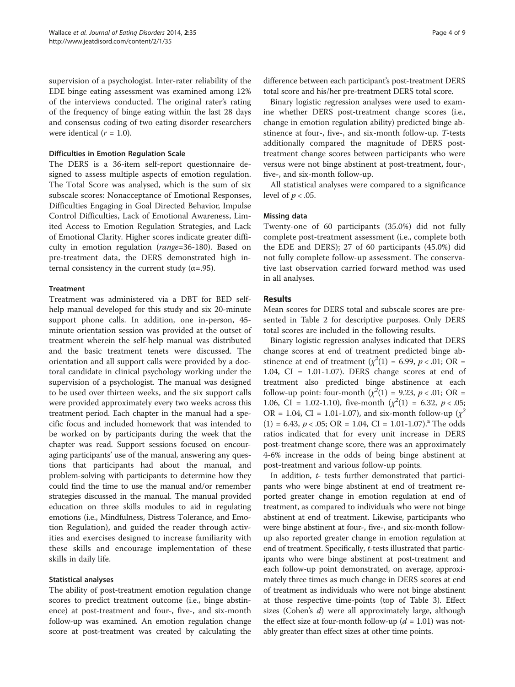supervision of a psychologist. Inter-rater reliability of the EDE binge eating assessment was examined among 12% of the interviews conducted. The original rater's rating of the frequency of binge eating within the last 28 days and consensus coding of two eating disorder researchers were identical  $(r = 1.0)$ .

### Difficulties in Emotion Regulation Scale

The DERS is a 36-item self-report questionnaire designed to assess multiple aspects of emotion regulation. The Total Score was analysed, which is the sum of six subscale scores: Nonacceptance of Emotional Responses, Difficulties Engaging in Goal Directed Behavior, Impulse Control Difficulties, Lack of Emotional Awareness, Limited Access to Emotion Regulation Strategies, and Lack of Emotional Clarity. Higher scores indicate greater difficulty in emotion regulation (range=36-180). Based on pre-treatment data, the DERS demonstrated high internal consistency in the current study ( $α = .95$ ).

## Treatment

Treatment was administered via a DBT for BED selfhelp manual developed for this study and six 20-minute support phone calls. In addition, one in-person, 45 minute orientation session was provided at the outset of treatment wherein the self-help manual was distributed and the basic treatment tenets were discussed. The orientation and all support calls were provided by a doctoral candidate in clinical psychology working under the supervision of a psychologist. The manual was designed to be used over thirteen weeks, and the six support calls were provided approximately every two weeks across this treatment period. Each chapter in the manual had a specific focus and included homework that was intended to be worked on by participants during the week that the chapter was read. Support sessions focused on encouraging participants' use of the manual, answering any questions that participants had about the manual, and problem-solving with participants to determine how they could find the time to use the manual and/or remember strategies discussed in the manual. The manual provided education on three skills modules to aid in regulating emotions (i.e., Mindfulness, Distress Tolerance, and Emotion Regulation), and guided the reader through activities and exercises designed to increase familiarity with these skills and encourage implementation of these skills in daily life.

## Statistical analyses

The ability of post-treatment emotion regulation change scores to predict treatment outcome (i.e., binge abstinence) at post-treatment and four-, five-, and six-month follow-up was examined. An emotion regulation change score at post-treatment was created by calculating the

difference between each participant's post-treatment DERS total score and his/her pre-treatment DERS total score.

Binary logistic regression analyses were used to examine whether DERS post-treatment change scores (i.e., change in emotion regulation ability) predicted binge abstinence at four-, five-, and six-month follow-up. T-tests additionally compared the magnitude of DERS posttreatment change scores between participants who were versus were not binge abstinent at post-treatment, four-, five-, and six-month follow-up.

All statistical analyses were compared to a significance level of  $p < .05$ .

## Missing data

Twenty-one of 60 participants (35.0%) did not fully complete post-treatment assessment (i.e., complete both the EDE and DERS); 27 of 60 participants (45.0%) did not fully complete follow-up assessment. The conservative last observation carried forward method was used in all analyses.

## Results

Mean scores for DERS total and subscale scores are presented in Table [2](#page-4-0) for descriptive purposes. Only DERS total scores are included in the following results.

Binary logistic regression analyses indicated that DERS change scores at end of treatment predicted binge abstinence at end of treatment  $(\chi^2(1) = 6.99, p < .01; \text{ OR } =$ 1.04, CI = 1.01-1.07). DERS change scores at end of treatment also predicted binge abstinence at each follow-up point: four-month  $(\chi^2(1) = 9.23, p < .01; \text{ OR } =$ 1.06, CI = 1.02-1.10), five-month  $(\chi^2(1) = 6.32, p < .05)$  $OR = 1.04$ ,  $CI = 1.01 - 1.07$ ), and six-month follow-up ( $\chi^2$  $(1) = 6.43, p < .05$ ; OR = 1.04, CI = 1.01-1.07).<sup>a</sup> The odds ratios indicated that for every unit increase in DERS post-treatment change score, there was an approximately 4-6% increase in the odds of being binge abstinent at post-treatment and various follow-up points.

In addition,  $t$ - tests further demonstrated that participants who were binge abstinent at end of treatment reported greater change in emotion regulation at end of treatment, as compared to individuals who were not binge abstinent at end of treatment. Likewise, participants who were binge abstinent at four-, five-, and six-month followup also reported greater change in emotion regulation at end of treatment. Specifically, *t*-tests illustrated that participants who were binge abstinent at post-treatment and each follow-up point demonstrated, on average, approximately three times as much change in DERS scores at end of treatment as individuals who were not binge abstinent at those respective time-points (top of Table [3\)](#page-5-0). Effect sizes (Cohen's d) were all approximately large, although the effect size at four-month follow-up  $(d = 1.01)$  was notably greater than effect sizes at other time points.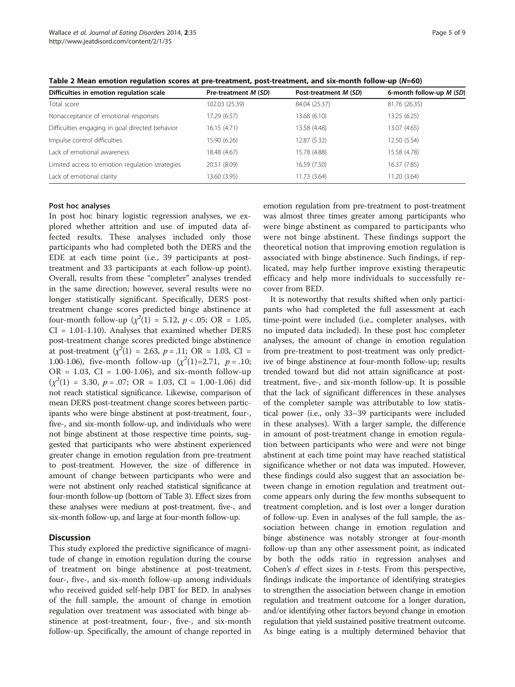<span id="page-4-0"></span>Table 2 Mean emotion regulation scores at pre-treatment, post-treatment, and six-month follow-up (N=60)

| Difficulties in emotion regulation scale        | Pre-treatment M (SD) | Post-treatment M (SD) | 6-month follow-up $M(SD)$ |
|-------------------------------------------------|----------------------|-----------------------|---------------------------|
| Total score                                     | 102.03 (25.39)       | 84.04 (25.37)         | 81.76 (26.35)             |
| Nonacceptance of emotional responses            | 17.29 (6.57)         | 13.68 (6.10)          | 13.25 (6.25)              |
| Difficulties engaging in goal directed behavior | 16.15 (4.71)         | 13.58 (4.48)          | 13.07 (4.65)              |
| Impulse control difficulties                    | 15.90 (6.26)         | (5.32)                | 12.50 (5.54)              |
| Lack of emotional awareness                     | 18.48 (4.67)         | 15.78 (4.88)          | 15.58 (4.78)              |
| Limited access to emotion regulation strategies | 20.51 (8.09)         | 16.59 (7.50)          | 16.37 (7.85)              |
| Lack of emotional clarity                       | 13.60 (3.95)         | 11.73 (3.64)          | 11.20(3.64)               |

#### Post hoc analyses

In post hoc binary logistic regression analyses, we explored whether attrition and use of imputed data affected results. These analyses included only those participants who had completed both the DERS and the EDE at each time point (i.e., 39 participants at posttreatment and 33 participants at each follow-up point). Overall, results from these "completer" analyses trended in the same direction; however, several results were no longer statistically significant. Specifically, DERS posttreatment change scores predicted binge abstinence at four-month follow-up  $(\chi^2(1) = 5.12, p < .05; \text{ OR } = 1.05,$ CI = 1.01-1.10). Analyses that examined whether DERS post-treatment change scores predicted binge abstinence at post-treatment  $(\chi^2(1) = 2.63, p = .11; \text{ OR } = 1.03, \text{ CI } =$ 1.00-1.06), five-month follow-up  $(\chi^2(1)=2.71, p=.10;$  $OR = 1.03$ ,  $CI = 1.00-1.06$ , and six-month follow-up  $(\chi^2(1) = 3.30, p = .07; \text{ OR } = 1.03, \text{ CI } = 1.00 - 1.06) \text{ did}$ not reach statistical significance. Likewise, comparison of mean DERS post-treatment change scores between participants who were binge abstinent at post-treatment, four-, five-, and six-month follow-up, and individuals who were not binge abstinent at those respective time points, suggested that participants who were abstinent experienced greater change in emotion regulation from pre-treatment to post-treatment. However, the size of difference in amount of change between participants who were and were not abstinent only reached statistical significance at four-month follow-up (bottom of Table [3](#page-5-0)). Effect sizes from these analyses were medium at post-treatment, five-, and six-month follow-up, and large at four-month follow-up.

#### **Discussion**

This study explored the predictive significance of magnitude of change in emotion regulation during the course of treatment on binge abstinence at post-treatment, four-, five-, and six-month follow-up among individuals who received guided self-help DBT for BED. In analyses of the full sample, the amount of change in emotion regulation over treatment was associated with binge abstinence at post-treatment, four-, five-, and six-month follow-up. Specifically, the amount of change reported in

emotion regulation from pre-treatment to post-treatment was almost three times greater among participants who were binge abstinent as compared to participants who were not binge abstinent. These findings support the theoretical notion that improving emotion regulation is associated with binge abstinence. Such findings, if replicated, may help further improve existing therapeutic efficacy and help more individuals to successfully recover from BED.

It is noteworthy that results shifted when only participants who had completed the full assessment at each time-point were included (i.e., completer analyses, with no imputed data included). In these post hoc completer analyses, the amount of change in emotion regulation from pre-treatment to post-treatment was only predictive of binge abstinence at four-month follow-up; results trended toward but did not attain significance at posttreatment, five-, and six-month follow-up. It is possible that the lack of significant differences in these analyses of the completer sample was attributable to low statistical power (i.e., only 33–39 participants were included in these analyses). With a larger sample, the difference in amount of post-treatment change in emotion regulation between participants who were and were not binge abstinent at each time point may have reached statistical significance whether or not data was imputed. However, these findings could also suggest that an association between change in emotion regulation and treatment outcome appears only during the few months subsequent to treatment completion, and is lost over a longer duration of follow-up. Even in analyses of the full sample, the association between change in emotion regulation and binge abstinence was notably stronger at four-month follow-up than any other assessment point, as indicated by both the odds ratio in regression analyses and Cohen's  $d$  effect sizes in  $t$ -tests. From this perspective, findings indicate the importance of identifying strategies to strengthen the association between change in emotion regulation and treatment outcome for a longer duration, and/or identifying other factors beyond change in emotion regulation that yield sustained positive treatment outcome. As binge eating is a multiply determined behavior that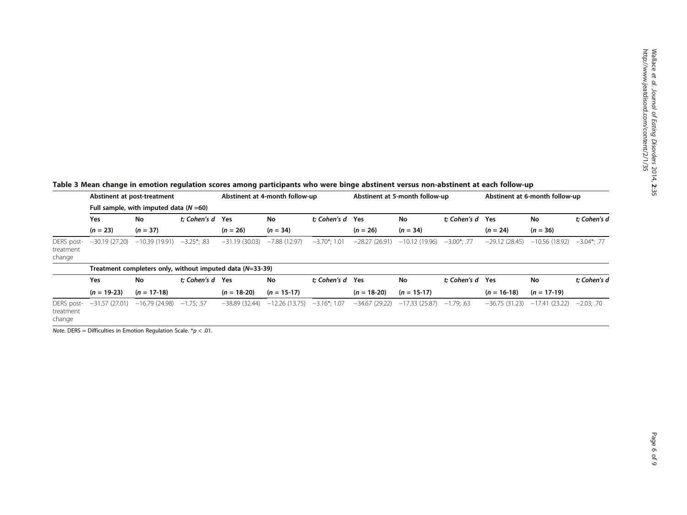<span id="page-5-0"></span>

| Table 3 Mean change in emotion regulation scores among participants who were binge abstinent versus non-abstinent at each follow-up |  |  |  |  |  |  |  |
|-------------------------------------------------------------------------------------------------------------------------------------|--|--|--|--|--|--|--|
|-------------------------------------------------------------------------------------------------------------------------------------|--|--|--|--|--|--|--|

|                                   | Abstinent at post-treatment                 |                                                           | Abstinent at 4-month follow-up |                 | Abstinent at 5-month follow-up |                             |                 | Abstinent at 6-month follow-up |                |                 |                 |                |
|-----------------------------------|---------------------------------------------|-----------------------------------------------------------|--------------------------------|-----------------|--------------------------------|-----------------------------|-----------------|--------------------------------|----------------|-----------------|-----------------|----------------|
|                                   | Full sample, with imputed data ( $N = 60$ ) |                                                           |                                |                 |                                |                             |                 |                                |                |                 |                 |                |
|                                   | Yes                                         | No                                                        | t: Cohen's d                   | Yes             | No                             | t: Cohen's d                | Yes             | No                             | t: Cohen's d   | Yes             | No              | t: Cohen's d   |
|                                   | $(n = 23)$                                  | $(n = 37)$                                                |                                | $(n = 26)$      | $(n = 34)$                     |                             | $(n = 26)$      | $(n = 34)$                     |                | $(n = 24)$      | $(n = 36)$      |                |
| DERS post-<br>treatment<br>change | $-30.19(27.20)$                             | $-10.39(19.91)$                                           | $-3.25$ *; .83                 | $-31.19(30.03)$ | $-7.88(12.97)$                 | $-3.70^*$ : 1.01            | $-28.27(26.91)$ | $-10.12(19.96)$                | $-3.00^*; .77$ | $-29.12(28.45)$ | $-10.56(18.92)$ | $-3.04$ *: .77 |
|                                   |                                             | Treatment completers only, without imputed data (N=33-39) |                                |                 |                                |                             |                 |                                |                |                 |                 |                |
|                                   | Yes                                         | No                                                        | t: Cohen's d                   | Yes             | No                             | t: Cohen's d                | Yes             | No                             | t: Cohen's d   | Yes             | No              | t: Cohen's d   |
|                                   | $(n = 19-23)$                               | $(n = 17-18)$                                             |                                | $(n = 18 - 20)$ | $(n = 15-17)$                  |                             | $(n = 18 - 20)$ | $(n = 15-17)$                  |                | $(n = 16-18)$   | $(n = 17-19)$   |                |
| DERS post-<br>treatment<br>change | $-31.57(27.01)$                             | $-16.79(24.98)$                                           | $-1.75: .57$                   | $-38.89(32.44)$ | $-12.26(13.75)$                | $-3.16$ <sup>*</sup> : 1.07 | $-34.67(29.22)$ | $-17.33(25.87)$                | $-1.79: .63$   | $-36.75(31.23)$ | $-17.41(23.22)$ | $-2.03: .70$   |

Note. DERS = Difficulties in Emotion Regulation Scale.  $p < .01$ .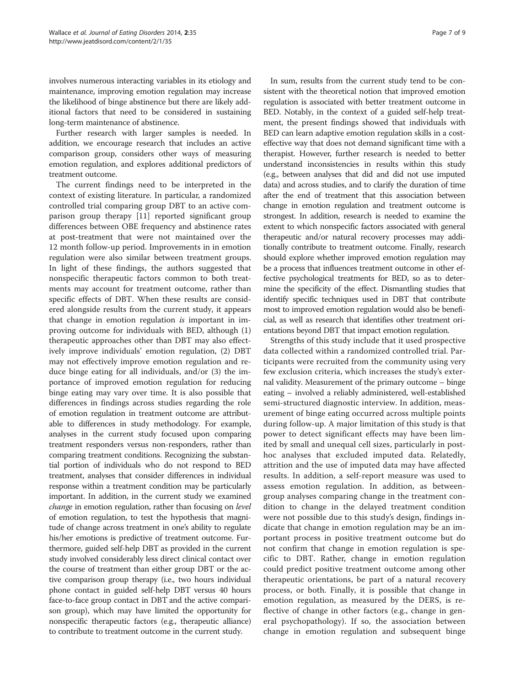involves numerous interacting variables in its etiology and maintenance, improving emotion regulation may increase the likelihood of binge abstinence but there are likely additional factors that need to be considered in sustaining long-term maintenance of abstinence.

Further research with larger samples is needed. In addition, we encourage research that includes an active comparison group, considers other ways of measuring emotion regulation, and explores additional predictors of treatment outcome.

The current findings need to be interpreted in the context of existing literature. In particular, a randomized controlled trial comparing group DBT to an active comparison group therapy [[11\]](#page-7-0) reported significant group differences between OBE frequency and abstinence rates at post-treatment that were not maintained over the 12 month follow-up period. Improvements in in emotion regulation were also similar between treatment groups. In light of these findings, the authors suggested that nonspecific therapeutic factors common to both treatments may account for treatment outcome, rather than specific effects of DBT. When these results are considered alongside results from the current study, it appears that change in emotion regulation is important in improving outcome for individuals with BED, although (1) therapeutic approaches other than DBT may also effectively improve individuals' emotion regulation, (2) DBT may not effectively improve emotion regulation and reduce binge eating for all individuals, and/or (3) the importance of improved emotion regulation for reducing binge eating may vary over time. It is also possible that differences in findings across studies regarding the role of emotion regulation in treatment outcome are attributable to differences in study methodology. For example, analyses in the current study focused upon comparing treatment responders versus non-responders, rather than comparing treatment conditions. Recognizing the substantial portion of individuals who do not respond to BED treatment, analyses that consider differences in individual response within a treatment condition may be particularly important. In addition, in the current study we examined change in emotion regulation, rather than focusing on level of emotion regulation, to test the hypothesis that magnitude of change across treatment in one's ability to regulate his/her emotions is predictive of treatment outcome. Furthermore, guided self-help DBT as provided in the current study involved considerably less direct clinical contact over the course of treatment than either group DBT or the active comparison group therapy (i.e., two hours individual phone contact in guided self-help DBT versus 40 hours face-to-face group contact in DBT and the active comparison group), which may have limited the opportunity for nonspecific therapeutic factors (e.g., therapeutic alliance) to contribute to treatment outcome in the current study.

In sum, results from the current study tend to be consistent with the theoretical notion that improved emotion regulation is associated with better treatment outcome in BED. Notably, in the context of a guided self-help treatment, the present findings showed that individuals with BED can learn adaptive emotion regulation skills in a costeffective way that does not demand significant time with a therapist. However, further research is needed to better understand inconsistencies in results within this study (e.g., between analyses that did and did not use imputed data) and across studies, and to clarify the duration of time after the end of treatment that this association between change in emotion regulation and treatment outcome is strongest. In addition, research is needed to examine the extent to which nonspecific factors associated with general therapeutic and/or natural recovery processes may additionally contribute to treatment outcome. Finally, research should explore whether improved emotion regulation may be a process that influences treatment outcome in other effective psychological treatments for BED, so as to determine the specificity of the effect. Dismantling studies that identify specific techniques used in DBT that contribute most to improved emotion regulation would also be beneficial, as well as research that identifies other treatment orientations beyond DBT that impact emotion regulation.

Strengths of this study include that it used prospective data collected within a randomized controlled trial. Participants were recruited from the community using very few exclusion criteria, which increases the study's external validity. Measurement of the primary outcome – binge eating – involved a reliably administered, well-established semi-structured diagnostic interview. In addition, measurement of binge eating occurred across multiple points during follow-up. A major limitation of this study is that power to detect significant effects may have been limited by small and unequal cell sizes, particularly in posthoc analyses that excluded imputed data. Relatedly, attrition and the use of imputed data may have affected results. In addition, a self-report measure was used to assess emotion regulation. In addition, as betweengroup analyses comparing change in the treatment condition to change in the delayed treatment condition were not possible due to this study's design, findings indicate that change in emotion regulation may be an important process in positive treatment outcome but do not confirm that change in emotion regulation is specific to DBT. Rather, change in emotion regulation could predict positive treatment outcome among other therapeutic orientations, be part of a natural recovery process, or both. Finally, it is possible that change in emotion regulation, as measured by the DERS, is reflective of change in other factors (e.g., change in general psychopathology). If so, the association between change in emotion regulation and subsequent binge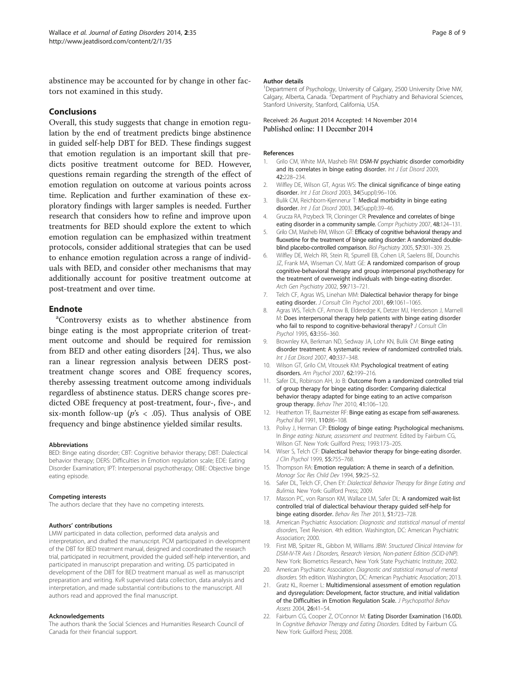<span id="page-7-0"></span>abstinence may be accounted for by change in other factors not examined in this study.

#### Conclusions

Overall, this study suggests that change in emotion regulation by the end of treatment predicts binge abstinence in guided self-help DBT for BED. These findings suggest that emotion regulation is an important skill that predicts positive treatment outcome for BED. However, questions remain regarding the strength of the effect of emotion regulation on outcome at various points across time. Replication and further examination of these exploratory findings with larger samples is needed. Further research that considers how to refine and improve upon treatments for BED should explore the extent to which emotion regulation can be emphasized within treatment protocols, consider additional strategies that can be used to enhance emotion regulation across a range of individuals with BED, and consider other mechanisms that may additionally account for positive treatment outcome at post-treatment and over time.

#### **Endnote**

Controversy exists as to whether abstinence from binge eating is the most appropriate criterion of treatment outcome and should be required for remission from BED and other eating disorders [[24\]](#page-8-0). Thus, we also ran a linear regression analysis between DERS posttreatment change scores and OBE frequency scores, thereby assessing treatment outcome among individuals regardless of abstinence status. DERS change scores predicted OBE frequency at post-treatment, four-, five-, and six-month follow-up ( $p's < .05$ ). Thus analysis of OBE frequency and binge abstinence yielded similar results.

#### Abbreviations

BED: Binge eating disorder; CBT: Cognitive behavior therapy; DBT: Dialectical behavior therapy; DERS: Difficulties in Emotion regulation scale; EDE: Eating Disorder Examination; IPT: Interpersonal psychotherapy; OBE: Objective binge eating episode.

#### Competing interests

The authors declare that they have no competing interests.

#### Authors' contributions

LMW participated in data collection, performed data analysis and interpretation, and drafted the manuscript. PCM participated in development of the DBT for BED treatment manual, designed and coordinated the research trial, participated in recruitment, provided the guided self-help intervention, and participated in manuscript preparation and writing. DS participated in development of the DBT for BED treatment manual as well as manuscript preparation and writing. KvR supervised data collection, data analysis and interpretation, and made substantial contributions to the manuscript. All authors read and approved the final manuscript.

#### Acknowledgements

The authors thank the Social Sciences and Humanities Research Council of Canada for their financial support.

#### Author details

<sup>1</sup>Department of Psychology, University of Calgary, 2500 University Drive NW, Calgary, Alberta, Canada. <sup>2</sup> Department of Psychiatry and Behavioral Sciences, Stanford University, Stanford, California, USA.

Received: 26 August 2014 Accepted: 14 November 2014 Published online: 11 December 2014

#### References

- 1. Grilo CM, White MA, Masheb RM: DSM-IV psychiatric disorder comorbidity and its correlates in binge eating disorder. Int J Eat Disord 2009, 42:228–234.
- 2. Wilfley DE, Wilson GT, Agras WS: The clinical significance of binge eating disorder. Int J Eat Disord 2003, 34(Suppl):96-106.
- 3. Bulik CM, Reichborn-Kjennerur T: Medical morbidity in binge eating disorder. Int J Eat Disord 2003, 34(Suppl):39-46.
- 4. Grucza RA, Przybeck TR, Cloninger CR: Prevalence and correlates of binge eating disorder in a community sample. Compr Psychiatry 2007, 48:124-131.
- 5. Grilo CM, Masheb RM, Wilson GT: Efficacy of cognitive behavioral therapy and fluoxetine for the treatment of binge eating disorder: A randomized doubleblind placebo-controlled comparison. Biol Psychiatry 2005, 57:301–309. 25.
- 6. Wilfley DE, Welch RR, Stein RI, Spurrell EB, Cohen LR, Saelens BE, Dounchis JZ, Frank MA, Wiseman CV, Matt GE: A randomized comparison of group cognitive-behavioral therapy and group interpersonal psychotherapy for the treatment of overweight individuals with binge-eating disorder. Arch Gen Psychiatry 2002, 59:713–721.
- 7. Telch CF, Agras WS, Linehan MM: Dialectical behavior therapy for binge eating disorder. J Consult Clin Psychol 2001, 69:1061–1065.
- 8. Agras WS, Telch CF, Arnow B, Elderedge K, Detzer MJ, Henderson J, Marnell M: Does interpersonal therapy help patients with binge eating disorder who fail to respond to cognitive-behavioral therapy? J Consult Clin Psychol 1995, 63:356–360.
- 9. Brownley KA, Berkman ND, Sedway JA, Lohr KN, Bulik CM: Binge eating disorder treatment: A systematic review of randomized controlled trials. Int J Eat Disord 2007, 40:337–348.
- 10. Wilson GT, Grilo CM, Vitousek KM: Psychological treatment of eating disorders. Am Psychol 2007, 62:199–216.
- 11. Safer DL, Robinson AH, Jo B: Outcome from a randomized controlled trial of group therapy for binge eating disorder: Comparing dialectical behavior therapy adapted for binge eating to an active comparison group therapy. Behav Ther 2010, 41:106-120.
- 12. Heatherton TF, Baumeister RF: Binge eating as escape from self-awareness. Psychol Bull 1991, 110:86–108.
- 13. Polivy J, Herman CP: Etiology of binge eating: Psychological mechanisms. In Binge eating: Nature, assessment and treatment. Edited by Fairburn CG, Wilson GT. New York: Guilford Press; 1993:173–205.
- 14. Wiser S, Telch CF: Dialectical behavior therapy for binge-eating disorder. J Clin Psychol 1999, 55:755–768.
- 15. Thompson RA: Emotion regulation: A theme in search of a definition. Monogr Soc Res Child Dev 1994, 59:25–52.
- 16. Safer DL, Telch CF, Chen EY: Dialectical Behavior Therapy for Binge Eating and Bulimia. New York: Guilford Press; 2009.
- 17. Masson PC, von Ranson KM, Wallace LM, Safer DL: A randomized wait-list controlled trial of dialectical behaviour therapy guided self-help for binge eating disorder. Behav Res Ther 2013, 51:723–728.
- 18. American Psychiatric Association: Diagnostic and statistical manual of mental disorders, Text Revision. 4th edition. Washington, DC: American Psychiatric Association; 2000.
- 19. First MB, Spitzer RL, Gibbon M, Williams JBW: Structured Clinical Interview for DSM-IV-TR Axis I Disorders, Research Version, Non-patient Edition (SCID-I/NP). New York: Biometrics Research, New York State Psychiatric Institute; 2002.
- 20. American Psychiatric Association: Diagnostic and statistical manual of mental disorders. 5th edition. Washington, DC: American Psychiatric Association; 2013.
- 21. Gratz KL, Roemer L: Multidimensional assessment of emotion regulation and dysregulation: Development, factor structure, and initial validation of the Difficulties in Emotion Regulation Scale. J Psychopathol Behav Assess 2004, 26:41–54.
- 22. Fairburn CG, Cooper Z, O'Connor M: Eating Disorder Examination (16.0D). In Cognitive Behavior Therapy and Eating Disorders. Edited by Fairburn CG. New York: Guilford Press; 2008.